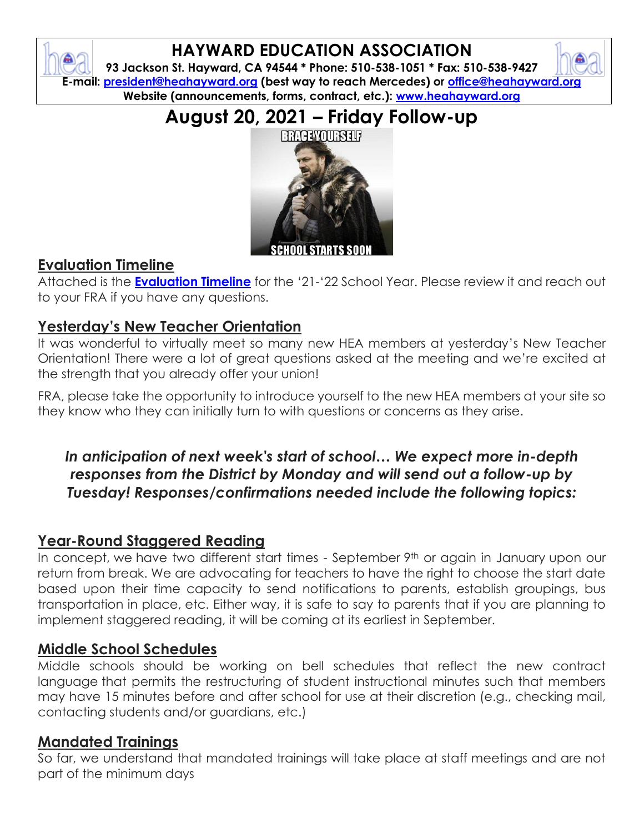

# **HAYWARD EDUCATION ASSOCIATION**

**93 Jackson St. Hayward, CA 94544 \* Phone: 510-538-1051 \* Fax: 510-538-9427 E-mail: [president@heahayward.org](mailto:president@heahayward.org) (best way to reach Mercedes) or [office@heahayward.org](mailto:office@heahayward.org) Website (announcements, forms, contract, etc.): [www.heahayward.org](http://www.heahayward.org/)**

**August 20, 2021 – Friday Follow-up**



#### **Evaluation Timeline**

Attached is the **[Evaluation Timeline](https://drive.google.com/file/d/18IdIneuyOUqeE9OeGn8hnrDSJ5YevVcF/view?usp=sharing)** for the '21-'22 School Year. Please review it and reach out to your FRA if you have any questions.

### **Yesterday's New Teacher Orientation**

It was wonderful to virtually meet so many new HEA members at yesterday's New Teacher Orientation! There were a lot of great questions asked at the meeting and we're excited at the strength that you already offer your union!

FRA, please take the opportunity to introduce yourself to the new HEA members at your site so they know who they can initially turn to with questions or concerns as they arise.

# *In anticipation of next week's start of school… We expect more in-depth responses from the District by Monday and will send out a follow-up by Tuesday! Responses/confirmations needed include the following topics:*

#### **Year-Round Staggered Reading**

In concept, we have two different start times - September 9th or again in January upon our return from break. We are advocating for teachers to have the right to choose the start date based upon their time capacity to send notifications to parents, establish groupings, bus transportation in place, etc. Either way, it is safe to say to parents that if you are planning to implement staggered reading, it will be coming at its earliest in September.

#### **Middle School Schedules**

Middle schools should be working on bell schedules that reflect the new contract language that permits the restructuring of student instructional minutes such that members may have 15 minutes before and after school for use at their discretion (e.g., checking mail, contacting students and/or guardians, etc.)

#### **Mandated Trainings**

So far, we understand that mandated trainings will take place at staff meetings and are not part of the minimum days